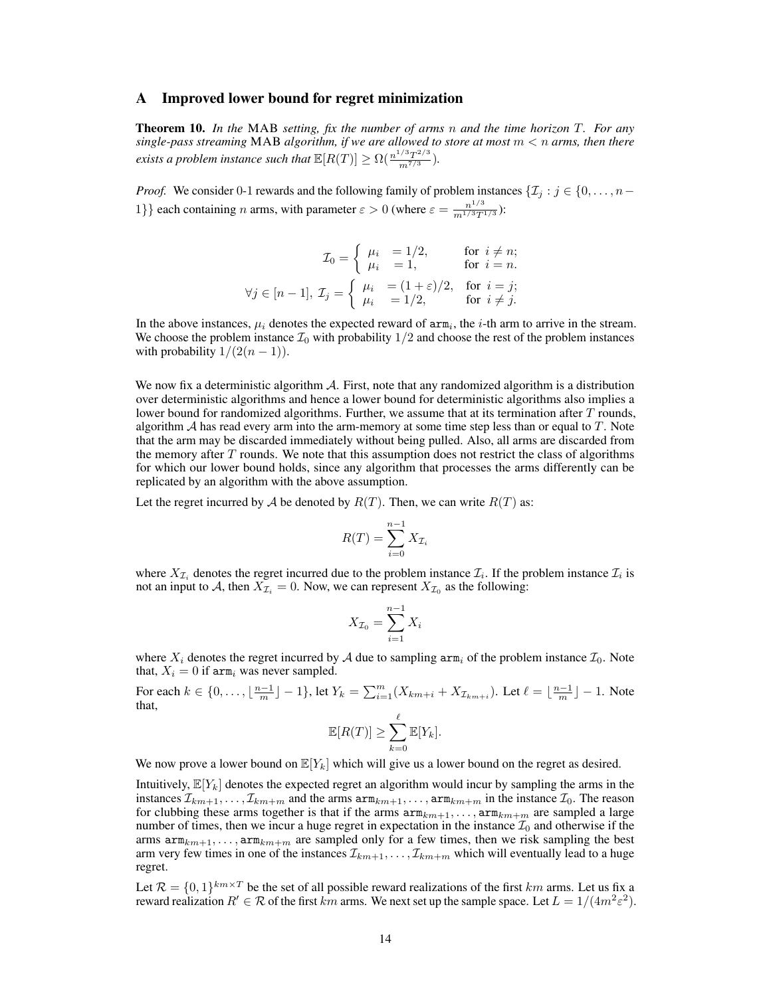### A Improved lower bound for regret minimization

Theorem 10. *In the* MAB *setting, fix the number of arms* n *and the time horizon* T*. For any single-pass streaming* MAB *algorithm, if we are allowed to store at most* m < n *arms, then there exists a problem instance such that*  $\mathbb{E}[R(T)] \ge \Omega(\frac{n^{1/3}T^{2/3}}{m^{7/3}})$ *.* 

*Proof.* We consider 0-1 rewards and the following family of problem instances  $\{\mathcal{I}_j : j \in \{0, \ldots, n-\} \}$ 1} each containing n arms, with parameter  $\varepsilon > 0$  (where  $\varepsilon = \frac{n^{1/3}}{m^{1/3}T}$  $\frac{n^{1/3}}{m^{1/3}T^{1/3}}$ ):

$$
\mathcal{I}_0 = \left\{ \begin{array}{ll} \mu_i &= 1/2, & \text{for } i \neq n; \\ \mu_i &= 1, & \text{for } i = n. \end{array} \right.
$$

$$
\forall j \in [n-1], \ \mathcal{I}_j = \left\{ \begin{array}{ll} \mu_i &= (1+\varepsilon)/2, & \text{for } i = j; \\ \mu_i &= 1/2, & \text{for } i \neq j. \end{array} \right.
$$

In the above instances,  $\mu_i$  denotes the expected reward of  $arm_i$ , the *i*-th arm to arrive in the stream. We choose the problem instance  $\mathcal{I}_0$  with probability  $1/2$  and choose the rest of the problem instances with probability  $1/(2(n-1))$ .

We now fix a deterministic algorithm A. First, note that any randomized algorithm is a distribution over deterministic algorithms and hence a lower bound for deterministic algorithms also implies a lower bound for randomized algorithms. Further, we assume that at its termination after  $T$  rounds, algorithm  $A$  has read every arm into the arm-memory at some time step less than or equal to  $T$ . Note that the arm may be discarded immediately without being pulled. Also, all arms are discarded from the memory after  $T$  rounds. We note that this assumption does not restrict the class of algorithms for which our lower bound holds, since any algorithm that processes the arms differently can be replicated by an algorithm with the above assumption.

Let the regret incurred by A be denoted by  $R(T)$ . Then, we can write  $R(T)$  as:

$$
R(T) = \sum_{i=0}^{n-1} X_{\mathcal{I}_i}
$$

where  $X_{\mathcal{I}_i}$  denotes the regret incurred due to the problem instance  $\mathcal{I}_i$ . If the problem instance  $\mathcal{I}_i$  is not an input to A, then  $X_{\mathcal{I}_i} = 0$ . Now, we can represent  $X_{\mathcal{I}_0}$  as the following:

$$
X_{\mathcal{I}_0} = \sum_{i=1}^{n-1} X_i
$$

where  $X_i$  denotes the regret incurred by A due to sampling  $arm_i$  of the problem instance  $\mathcal{I}_0$ . Note that,  $X_i = 0$  if arm<sub>i</sub> was never sampled.

For each  $k \in \{0, \ldots, \lfloor \frac{n-1}{m} \rfloor - 1\}$ , let  $Y_k = \sum_{i=1}^m (X_{km+i} + X_{\mathcal{I}_{km+i}})$ . Let  $\ell = \lfloor \frac{n-1}{m} \rfloor - 1$ . Note that,

$$
\mathbb{E}[R(T)] \geq \sum_{k=0}^{\ell} \mathbb{E}[Y_k].
$$

We now prove a lower bound on  $\mathbb{E}[Y_k]$  which will give us a lower bound on the regret as desired.

Intuitively,  $\mathbb{E}[Y_k]$  denotes the expected regret an algorithm would incur by sampling the arms in the instances  $\mathcal{I}_{km+1},\ldots,\mathcal{I}_{km+m}$  and the arms  $\text{arm}_{km+1},\ldots,\text{arm}_{km+m}$  in the instance  $\mathcal{I}_0$ . The reason for clubbing these arms together is that if the arms  $arm_{km+1}, \ldots, arm_{km+m}$  are sampled a large number of times, then we incur a huge regret in expectation in the instance  $\mathcal{I}_0$  and otherwise if the arms  $arm_{km+1}, \ldots, arm_{km+m}$  are sampled only for a few times, then we risk sampling the best arm very few times in one of the instances  $\mathcal{I}_{km+1}, \ldots, \mathcal{I}_{km+m}$  which will eventually lead to a huge regret.

Let  $\mathcal{R} = \{0,1\}^{km \times T}$  be the set of all possible reward realizations of the first km arms. Let us fix a reward realization  $R' \in \mathcal{R}$  of the first  $km$  arms. We next set up the sample space. Let  $L = 1/(4m^2\varepsilon^2)$ .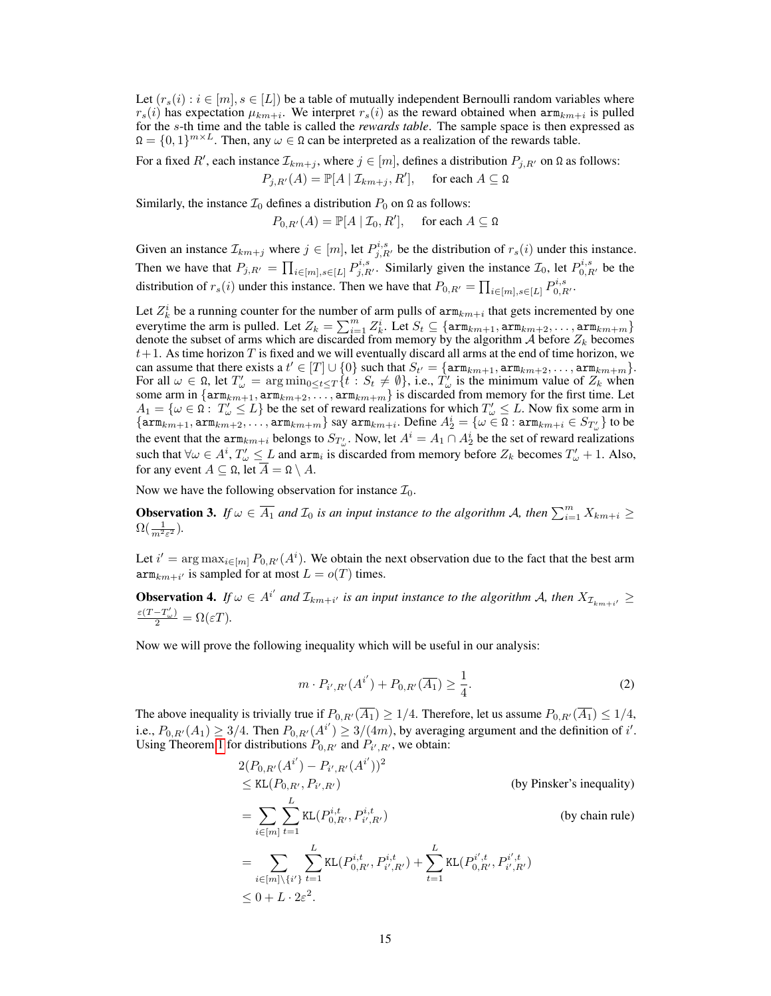Let  $(r_s(i) : i \in [m], s \in [L]$  be a table of mutually independent Bernoulli random variables where  $r_s(i)$  has expectation  $\mu_{km+i}$ . We interpret  $r_s(i)$  as the reward obtained when  $arm_{km+i}$  is pulled for the s-th time and the table is called the *rewards table*. The sample space is then expressed as  $\Omega = \{0,1\}^{m \times L}$ . Then, any  $\omega \in \Omega$  can be interpreted as a realization of the rewards table.

For a fixed R', each instance  $\mathcal{I}_{km+j}$ , where  $j \in [m]$ , defines a distribution  $P_{j,R'}$  on  $\Omega$  as follows:  $P_{j,R'}(A) = \mathbb{P}[A | \mathcal{I}_{km+j}, R'], \text{ for each } A \subseteq \Omega$ 

Similarly, the instance  $\mathcal{I}_0$  defines a distribution  $P_0$  on  $\Omega$  as follows:

 $P_{0,R'}(A) = \mathbb{P}[A | \mathcal{I}_0, R'], \quad \text{ for each } A \subseteq \Omega$ 

Given an instance  $\mathcal{I}_{km+j}$  where  $j \in [m]$ , let  $P^{i,s}_{j,R'}$  be the distribution of  $r_s(i)$  under this instance. Then we have that  $P_{j,R'} = \prod_{i \in [m], s \in [L]} P_{j,R'}^{i,s}$ . Similarly given the instance  $\mathcal{I}_0$ , let  $P_{0,R'}^{i,s}$  be the distribution of  $r_s(i)$  under this instance. Then we have that  $P_{0,R'} = \prod_{i \in [m], s \in [L]} P_{0,R'}^{i,s}$ .

Let  $Z_k^i$  be a running counter for the number of arm pulls of  $arm_{km+i}$  that gets incremented by one everytime the arm is pulled. Let  $Z_k = \sum_{i=1}^m Z_k^i$ . Let  $S_t \subseteq {\text{arm}_{km+1}, \text{arm}_{km+2}, \ldots, \text{arm}_{km+m}}$ denote the subset of arms which are discarded from memory by the algorithm  $A$  before  $Z_k$  becomes  $t+1$ . As time horizon T is fixed and we will eventually discard all arms at the end of time horizon, we can assume that there exists a  $t' \in [T] \cup \{0\}$  such that  $S_{t'} = \{\text{arm}_{km+1}, \text{arm}_{km+2}, \dots, \text{arm}_{km+m}\}.$ For all  $\omega \in \Omega$ , let  $T'_{\omega} = \arg \min_{0 \le t \le T} \{t : S_t \ne \emptyset\}$ , i.e.,  $T'_{\omega}$  is the minimum value of  $Z_k$  when some arm in  $\{\text{arm}_{km+1}, \text{arm}_{km+2}, \ldots, \text{arm}_{km+m}\}$  is discarded from memory for the first time. Let  $A_1 = \{ \omega \in \Omega : T'_{\omega} \leq L \}$  be the set of reward realizations for which  $T'_{\omega} \leq L$ . Now fix some arm in  $\{\mathtt{arm}_{km+1},\mathtt{arm}_{km+2},\ldots,\mathtt{arm}_{km+m}\}$  say  $\mathtt{arm}_{km+i}$ . Define  $A_2^i=\{\omega\in\Omega:\mathtt{arm}_{km+i}\in S_{T_\omega'}\}$  to be the event that the  $arm_{km+i}$  belongs to  $S_{T'_{\omega}}$ . Now, let  $A^i = A_1 \cap A_2^i$  be the set of reward realizations such that  $\forall \omega \in A^i, T'_{\omega} \leq L$  and  $arm_i$  is discarded from memory before  $Z_k$  becomes  $T'_{\omega} + 1$ . Also, for any event  $A \subseteq \Omega$ , let  $\overline{A} = \Omega \setminus A$ .

Now we have the following observation for instance  $\mathcal{I}_0$ .

**Observation 3.** If  $\omega \in \overline{A_1}$  and  $\mathcal{I}_0$  is an input instance to the algorithm A, then  $\sum_{i=1}^m X_{km+i} \geq$  $\Omega(\frac{1}{m^2\varepsilon^2}).$ 

Let  $i' = \arg \max_{i \in [m]} P_{0,R'}(A^i)$ . We obtain the next observation due to the fact that the best arm  $\operatorname{arm}_{km+i'}$  is sampled for at most  $L = o(T)$  times.

**Observation 4.** If  $\omega \in A^{i'}$  and  $\mathcal{I}_{km+i'}$  is an input instance to the algorithm A, then  $X_{\mathcal{I}_{km+i'}} \geq$  $\frac{\varepsilon(T-T'_{\omega})}{2} = \Omega(\varepsilon T).$ 

<span id="page-1-0"></span>Now we will prove the following inequality which will be useful in our analysis:

$$
m \cdot P_{i',R'}(A^{i'}) + P_{0,R'}(\overline{A_1}) \ge \frac{1}{4}.
$$
 (2)

The above inequality is trivially true if  $P_{0,R'}(\overline{A_1}) \geq 1/4$ . Therefore, let us assume  $P_{0,R'}(\overline{A_1}) \leq 1/4$ , i.e.,  $P_{0,R'}(A_1) \geq 3/4$ . Then  $P_{0,R'}(A^{i'}) \geq 3/(4m)$ , by averaging argument and the definition of i'. Using Theorem 1 for distributions  $P_{0,R'}$  and  $P_{i',R'}$ , we obtain:

$$
2(P_{0,R'}(A^{i'}) - P_{i',R'}(A^{i'}))^2
$$
  
\n
$$
\leq KL(P_{0,R'}, P_{i',R'})
$$
 (by Pinsker's inequality)  
\n
$$
= \sum_{i \in [m]} \sum_{t=1}^{L} KL(P_{0,R'}^{i,t}, P_{i',R'}^{i,t})
$$
 (by chain rule)  
\n
$$
= \sum_{i \in [m] \setminus \{i'\}} \sum_{t=1}^{L} KL(P_{0,R'}^{i,t}, P_{i',R'}^{i,t}) + \sum_{t=1}^{L} KL(P_{0,R'}^{i',t}, P_{i',R'}^{i',t})
$$
  
\n
$$
\leq 0 + L \cdot 2\varepsilon^2.
$$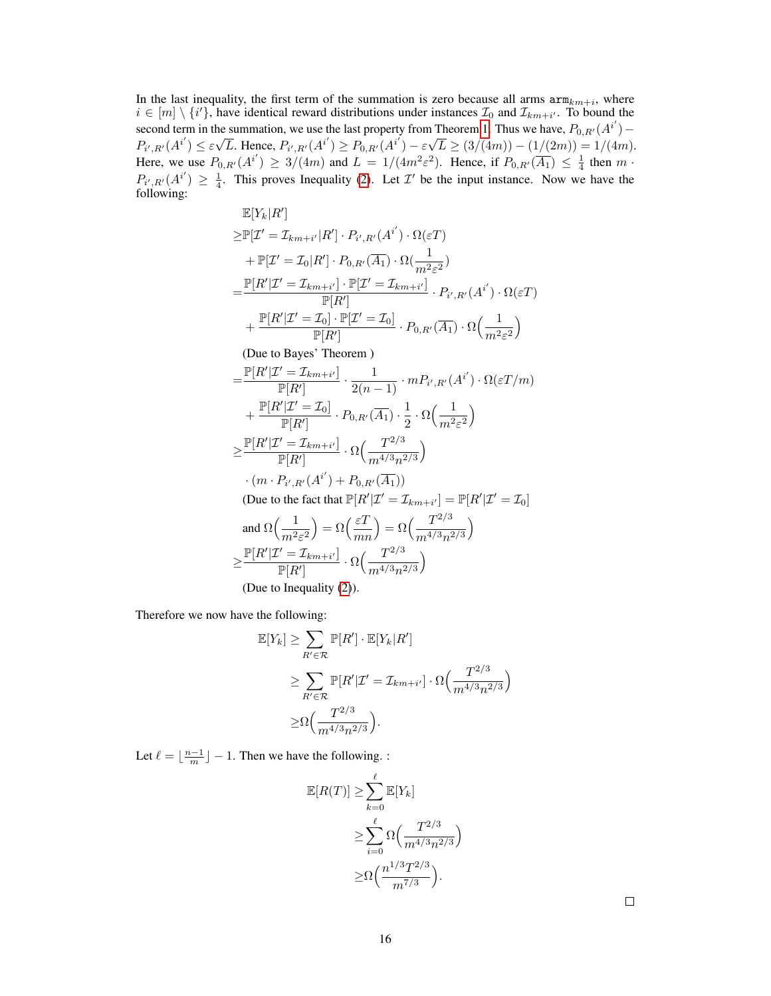In the last inequality, the first term of the summation is zero because all arms  $arm_{km+i}$ , where  $i \in [m] \setminus \{i'\}$ , have identical reward distributions under instances  $\mathcal{I}_0$  and  $\mathcal{I}_{km+i'}$ . To bound the second term in the summation, we use the last property from Theorem 1. Thus we have,  $P_{0,R'}(A^{i'}) P_{i',R'}(A^{i'}) \leq \varepsilon \sqrt{L}$ . Hence,  $P_{i',R'}(A^{i'}) \geq P_{0,R'}(A^{i'}) - \varepsilon \sqrt{L} \geq (3/(4m)) - (1/(2m)) = 1/(4m)$ . Here, we use  $P_{0,R'}(A^{i'}) \geq 3/(4m)$  and  $L = 1/(4m^2\varepsilon^2)$ . Hence, if  $P_{0,R'}(\overline{A_1}) \leq \frac{1}{4}$  then  $m \cdot$  $P_{i',R'}(A^{i'}) \geq \frac{1}{4}$ . This proves Inequality [\(2\)](#page-1-0). Let T' be the input instance. Now we have the following:

$$
\mathbb{E}[Y_k|R']\n\geq \mathbb{P}[Z'= \mathcal{I}_{km+i'}|R'] \cdot P_{i',R'}(A^{i'}) \cdot \Omega(\varepsilon T)\n+ \mathbb{P}[Z'= \mathcal{I}_0|R'] \cdot P_{0,R'}(\overline{A_1}) \cdot \Omega(\frac{1}{m^2\varepsilon^2})\n= \frac{\mathbb{P}[R'|Z'= \mathcal{I}_{km+i'}] \cdot \mathbb{P}[Z'= \mathcal{I}_{km+i'}]}{\mathbb{P}[R']} \cdot P_{i',R'}(A^{i'}) \cdot \Omega(\varepsilon T)\n+ \frac{\mathbb{P}[R'|Z'= \mathcal{I}_0] \cdot \mathbb{P}[Z'= \mathcal{I}_0]}{\mathbb{P}[R']} \cdot P_{0,R'}(\overline{A_1}) \cdot \Omega(\frac{1}{m^2\varepsilon^2})\n\text{(Due to Bayes' Theorem)}\n= \frac{\mathbb{P}[R'|Z'= \mathcal{I}_{km+i'}]}{\mathbb{P}[R']} \cdot \frac{1}{2(n-1)} \cdot m P_{i',R'}(A^{i'}) \cdot \Omega(\varepsilon T/m)\n+ \frac{\mathbb{P}[R'|Z'= \mathcal{I}_0]}{\mathbb{P}[R']} \cdot P_{0,R'}(\overline{A_1}) \cdot \frac{1}{2} \cdot \Omega(\frac{1}{m^2\varepsilon^2})\n\geq \frac{\mathbb{P}[R'|Z'= \mathcal{I}_{km+i'}]}{\mathbb{P}[R']} \cdot \Omega(\frac{T^{2/3}}{m^{4/3}n^{2/3}})\n\cdot (m \cdot P_{i',R'}(A^{i'}) + P_{0,R'}(\overline{A_1}))\n\text{(Due to the fact that } \mathbb{P}[R'|Z'= \mathcal{I}_{km+i'}] = \mathbb{P}[R'|Z'= \mathcal{I}_0]\n\text{and } \Omega(\frac{1}{m^2\varepsilon^2}) = \Omega(\frac{\varepsilon T}{mn}) = \Omega(\frac{T^{2/3}}{m^{4/3}n^{2/3}})\n\geq \frac{\mathbb{P}[R'|Z'= \mathcal{I}_{km+i'}] \cdot \Omega(\frac{T^{2/3}}{m^{4/3}n^{2/3}})\n\text{(Due to Inequality (2))}.
$$

Therefore we now have the following:

$$
\mathbb{E}[Y_k] \geq \sum_{R' \in \mathcal{R}} \mathbb{P}[R'] \cdot \mathbb{E}[Y_k | R']
$$
  
\n
$$
\geq \sum_{R' \in \mathcal{R}} \mathbb{P}[R'| \mathcal{I}' = \mathcal{I}_{km+i'}] \cdot \Omega\left(\frac{T^{2/3}}{m^{4/3}n^{2/3}}\right)
$$
  
\n
$$
\geq \Omega\left(\frac{T^{2/3}}{m^{4/3}n^{2/3}}\right).
$$

Let  $\ell = \lfloor \frac{n-1}{m} \rfloor - 1$ . Then we have the following. :

$$
\mathbb{E}[R(T)] \ge \sum_{k=0}^{\ell} \mathbb{E}[Y_k]
$$
  
\n
$$
\ge \sum_{i=0}^{\ell} \Omega\left(\frac{T^{2/3}}{m^{4/3}n^{2/3}}\right)
$$
  
\n
$$
\ge \Omega\left(\frac{n^{1/3}T^{2/3}}{m^{7/3}}\right).
$$

 $\Box$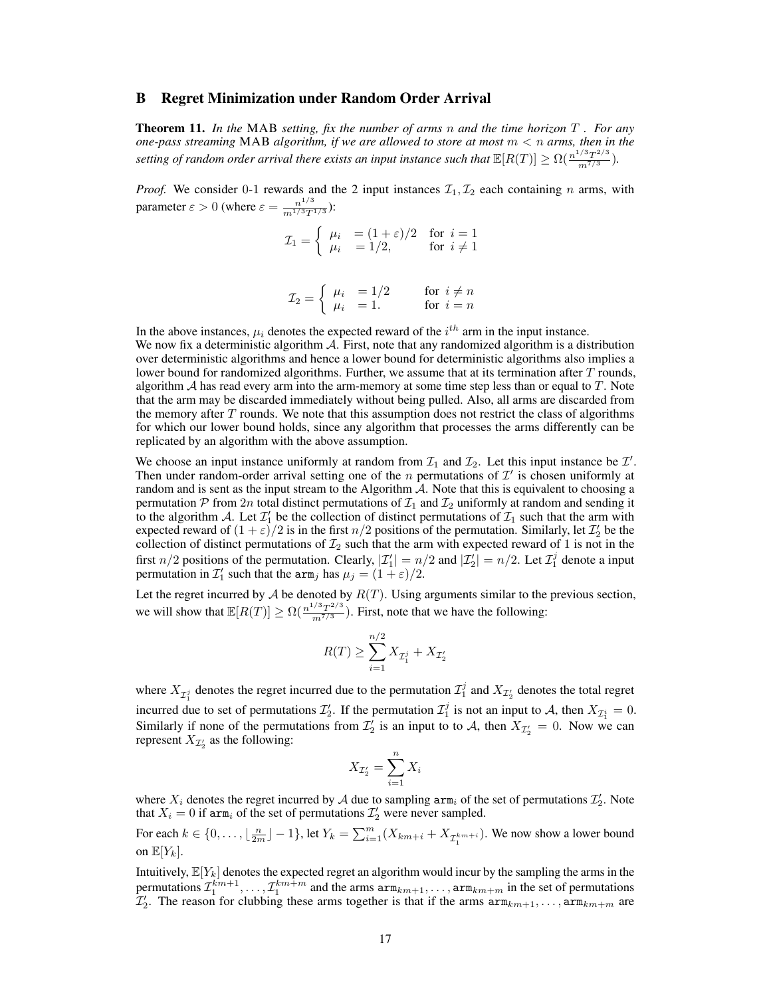### B Regret Minimization under Random Order Arrival

Theorem 11. *In the* MAB *setting, fix the number of arms* n *and the time horizon* T *. For any one-pass streaming* MAB *algorithm, if we are allowed to store at most* m < n *arms, then in the* setting of random order arrival there exists an input instance such that  $\mathbb{E}[R(T)] \ge \Omega(\frac{n^{1/3}T^{2/3}}{m^{7/3}})$ .

*Proof.* We consider 0-1 rewards and the 2 input instances  $\mathcal{I}_1, \mathcal{I}_2$  each containing n arms, with parameter  $\varepsilon > 0$  (where  $\varepsilon = \frac{n^{1/3}}{m^{1/3}T^2}$  $\frac{n^{1/3}}{m^{1/3}T^{1/3}}$ ):

$$
\mathcal{I}_1 = \left\{ \begin{array}{ll} \mu_i & = (1 + \varepsilon)/2 & \text{for } i = 1\\ \mu_i & = 1/2, & \text{for } i \neq 1 \end{array} \right.
$$

$$
\mathcal{I}_2 = \left\{ \begin{array}{ll} \mu_i & = 1/2 & \text{for } i \neq n \\ \mu_i & = 1. & \text{for } i = n \end{array} \right.
$$

In the above instances,  $\mu_i$  denotes the expected reward of the  $i^{th}$  arm in the input instance. We now fix a deterministic algorithm  $A$ . First, note that any randomized algorithm is a distribution over deterministic algorithms and hence a lower bound for deterministic algorithms also implies a lower bound for randomized algorithms. Further, we assume that at its termination after  $T$  rounds, algorithm  $A$  has read every arm into the arm-memory at some time step less than or equal to  $T$ . Note that the arm may be discarded immediately without being pulled. Also, all arms are discarded from the memory after  $T$  rounds. We note that this assumption does not restrict the class of algorithms for which our lower bound holds, since any algorithm that processes the arms differently can be replicated by an algorithm with the above assumption.

We choose an input instance uniformly at random from  $\mathcal{I}_1$  and  $\mathcal{I}_2$ . Let this input instance be  $\mathcal{I}'$ . Then under random-order arrival setting one of the *n* permutations of  $\mathcal{I}'$  is chosen uniformly at random and is sent as the input stream to the Algorithm  $A$ . Note that this is equivalent to choosing a permutation P from 2n total distinct permutations of  $\mathcal{I}_1$  and  $\mathcal{I}_2$  uniformly at random and sending it to the algorithm A. Let  $\mathcal{I}'_1$  be the collection of distinct permutations of  $\mathcal{I}_1$  such that the arm with expected reward of  $(1+\varepsilon)/2$  is in the first  $n/2$  positions of the permutation. Similarly, let  $\mathcal{I}'_2$  be the collection of distinct permutations of  $\mathcal{I}_2$  such that the arm with expected reward of 1 is not in the first  $n/2$  positions of the permutation. Clearly,  $|\mathcal{I}'_1| = n/2$  and  $|\mathcal{I}'_2| = n/2$ . Let  $\mathcal{I}^j_1$  denote a input permutation in  $\mathcal{I}'_1$  such that the  $\text{arm}_j$  has  $\mu_j = (1 + \varepsilon)/2$ .

Let the regret incurred by  $A$  be denoted by  $R(T)$ . Using arguments similar to the previous section, we will show that  $\mathbb{E}[R(T)] \ge \Omega(\frac{n^{1/3}T^{2/3}}{m^{7/3}})$ . First, note that we have the following:

$$
R(T) \ge \sum_{i=1}^{n/2} X_{\mathcal{I}_1^j} + X_{\mathcal{I}_2'}
$$

where  $X_{\mathcal{I}_1^j}$  denotes the regret incurred due to the permutation  $\mathcal{I}_1^j$  and  $X_{\mathcal{I}_2'}$  denotes the total regret incurred due to set of permutations  $\mathcal{I}'_2$ . If the permutation  $\mathcal{I}'_1$  is not an input to A, then  $X_{\mathcal{I}'_1} = 0$ . Similarly if none of the permutations from  $\mathcal{I}'_2$  is an input to to A, then  $X_{\mathcal{I}'_2} = 0$ . Now we can represent  $X_{\mathcal{I}'_2}$  as the following:

$$
X_{\mathcal{I}'_2} = \sum_{i=1}^n X_i
$$

where  $X_i$  denotes the regret incurred by A due to sampling  $arm_i$  of the set of permutations  $\mathcal{I}_2'$ . Note that  $X_i = 0$  if arm<sub>i</sub> of the set of permutations  $\mathcal{I}'_2$  were never sampled.

For each  $k \in \{0, \ldots, \lfloor \frac{n}{2m} \rfloor - 1\}$ , let  $Y_k = \sum_{i=1}^m (X_{km+i} + X_{\mathcal{I}^{km+i}_1})$ . We now show a lower bound on  $\mathbb{E}[Y_k]$ .

Intuitively,  $\mathbb{E}[Y_k]$  denotes the expected regret an algorithm would incur by the sampling the arms in the permutations  $\mathcal{I}_1^{km+1}, \ldots, \mathcal{I}_1^{km+m}$  and the arms  $\text{arm}_{km+1}, \ldots, \text{arm}_{km+m}$  in the set of permutations  $\mathcal{I}'_2$ . The reason for clubbing these arms together is that if the arms  $\text{arm}_{km+1}, \ldots, \text{arm}_{km+m}$  are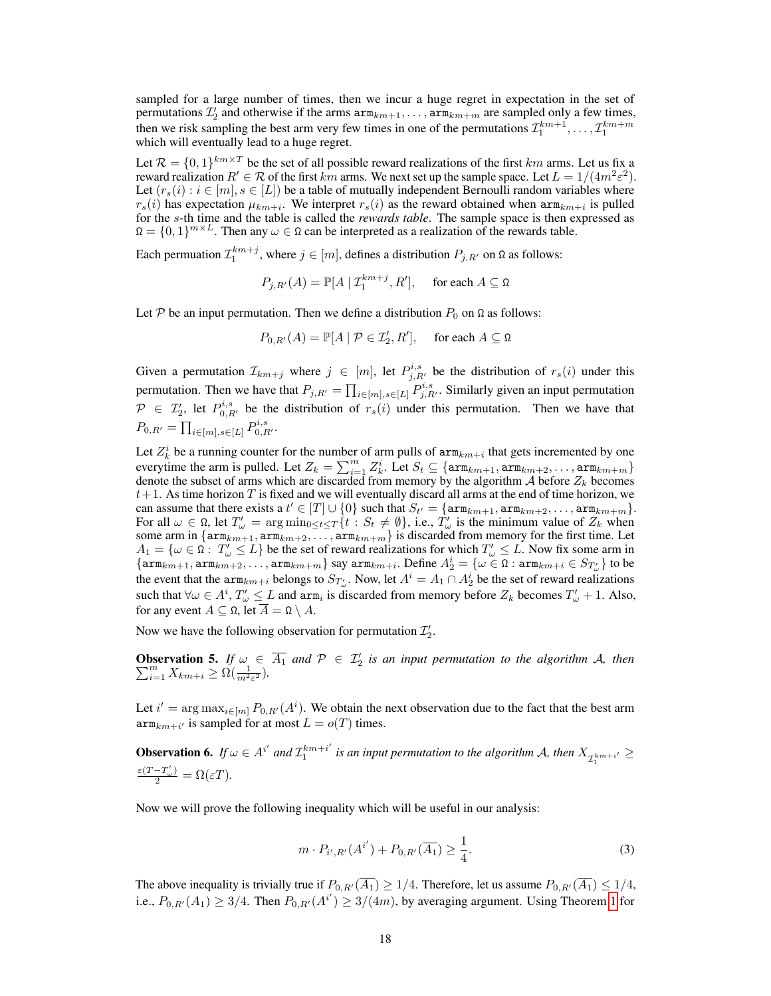sampled for a large number of times, then we incur a huge regret in expectation in the set of permutations  $\mathcal{I}'_2$  and otherwise if the arms  $\text{arm}_{km+1}, \ldots, \text{arm}_{km+m}$  are sampled only a few times, then we risk sampling the best arm very few times in one of the permutations  $\mathcal{I}_1^{km+1}, \ldots, \mathcal{I}_1^{km+m}$ which will eventually lead to a huge regret.

Let  $\mathcal{R} = \{0,1\}^{km \times T}$  be the set of all possible reward realizations of the first km arms. Let us fix a reward realization  $R' \in \mathcal{R}$  of the first  $km$  arms. We next set up the sample space. Let  $L = 1/(4m^2\varepsilon^2)$ . Let  $(r_s(i) : i \in [m], s \in [L])$  be a table of mutually independent Bernoulli random variables where  $r_s(i)$  has expectation  $\mu_{km+i}$ . We interpret  $r_s(i)$  as the reward obtained when  $arm_{km+i}$  is pulled for the s-th time and the table is called the *rewards table*. The sample space is then expressed as  $\Omega = \{0,1\}^{m \times L}$ . Then any  $\omega \in \Omega$  can be interpreted as a realization of the rewards table.

Each permuation  $\mathcal{I}_1^{km+j}$ , where  $j \in [m]$ , defines a distribution  $P_{j,R'}$  on  $\Omega$  as follows:

$$
P_{j,R'}(A) = \mathbb{P}[A \mid \mathcal{I}_1^{km+j}, R'], \quad \text{ for each } A \subseteq \Omega
$$

Let P be an input permutation. Then we define a distribution  $P_0$  on  $\Omega$  as follows:

$$
P_{0,R'}(A) = \mathbb{P}[A \mid \mathcal{P} \in \mathcal{I}'_2, R'], \quad \text{ for each } A \subseteq \Omega
$$

Given a permutation  $\mathcal{I}_{km+j}$  where  $j \in [m]$ , let  $P^{i,s}_{j,R'}$  be the distribution of  $r_s(i)$  under this permutation. Then we have that  $P_{j,R'} = \prod_{i \in [m], s \in [L]} P_{j,R'}^{i,s}$ . Similarly given an input permutation  $\mathcal{P} \in \mathcal{I}'_2$ , let  $P_{0,R'}^{i,s}$  be the distribution of  $r_s(i)$  under this permutation. Then we have that  $P_{0,R'} = \prod_{i \in [m], s \in [L]} P_{0,R'}^{i,s}.$ 

Let  $Z_k^i$  be a running counter for the number of arm pulls of  $arm_{km+i}$  that gets incremented by one everytime the arm is pulled. Let  $Z_k = \sum_{i=1}^m Z_k^i$ . Let  $S_t \subseteq {\text{arm}_{km+1}, \text{arm}_{km+2}, \ldots, \text{arm}_{km+m}}$ denote the subset of arms which are discarded from memory by the algorithm  $A$  before  $Z_k$  becomes  $t+1$ . As time horizon T is fixed and we will eventually discard all arms at the end of time horizon, we can assume that there exists a  $t' \in [T] \cup \{0\}$  such that  $S_{t'} = \{\text{arm}_{km+1}, \text{arm}_{km+2}, \dots, \text{arm}_{km+m}\}.$ For all  $\omega \in \Omega$ , let  $T'_{\omega} = \arg \min_{0 \leq t \leq T} \{t : S_t \neq \emptyset\}$ , i.e.,  $T'_{\omega}$  is the minimum value of  $Z_k$  when some arm in  $\{ \texttt{arm}_{km+1}, \texttt{arm}_{km+2}, \ldots, \texttt{arm}_{km+m} \}$  is discarded from memory for the first time. Let  $A_1 = \{ \omega \in \Omega : T'_{\omega} \leq L \}$  be the set of reward realizations for which  $T'_{\omega} \leq L$ . Now fix some arm in  $\{\mathtt{arm}_{km+1},\mathtt{arm}_{km+2},\ldots,\mathtt{arm}_{km+m}\}$  say  $\mathtt{arm}_{km+i}$ . Define  $A_2^i=\{\omega\in\Omega:\mathtt{arm}_{km+i}\in S_{T_\omega'}\}$  to be the event that the  $arm_{km+i}$  belongs to  $S_{T'_{\omega}}$ . Now, let  $A^i = A_1 \cap A_2^i$  be the set of reward realizations such that  $\forall \omega \in A^i, T'_{\omega} \leq L$  and arm<sub>i</sub> is discarded from memory before  $Z_k$  becomes  $T'_{\omega} + 1$ . Also, for any event  $A \subseteq \Omega$ , let  $\overline{A} = \Omega \setminus A$ .

Now we have the following observation for permutation  $\mathcal{I}_2'$ .

**Observation 5.** *If*  $\omega \in \overline{A_1}$  *and*  $\mathcal{P} \in \mathcal{I}_2'$ <br>  $\sum_{i=1}^m X_{km+i} \geq \Omega(\frac{1}{m^2 \varepsilon^2})$ . **is an** input permutation to the algorithm A, then  $\sum_{i=1}^{m} X_{km+i} \ge \Omega(\frac{1}{m^2 \varepsilon^2})$ .

Let  $i' = \arg \max_{i \in [m]} P_{0,R'}(A^i)$ . We obtain the next observation due to the fact that the best arm  $\operatorname{arm}_{km+i'}$  is sampled for at most  $L = o(T)$  times.

**Observation 6.** If  $\omega \in A^{i'}$  and  $\mathcal{I}_1^{km+i'}$  $\frac{k^{m+i}}{1}$  is an input permutation to the algorithm A, then  $X_{\mathcal{I}^{k^{m+i'}}_1} \geq 1$  $\frac{\varepsilon(T-T'_{\omega})}{2} = \Omega(\varepsilon T).$ 

<span id="page-4-0"></span>Now we will prove the following inequality which will be useful in our analysis:

$$
m \cdot P_{i',R'}(A^{i'}) + P_{0,R'}(\overline{A_1}) \ge \frac{1}{4}.
$$
 (3)

The above inequality is trivially true if  $P_{0,R'}(\overline{A_1}) \geq 1/4$ . Therefore, let us assume  $P_{0,R'}(\overline{A_1}) \leq 1/4$ , i.e.,  $P_{0,R'}(A_1) \geq 3/4$ . Then  $P_{0,R'}(A^{i'}) \geq 3/(4m)$ , by averaging argument. Using Theorem 1 for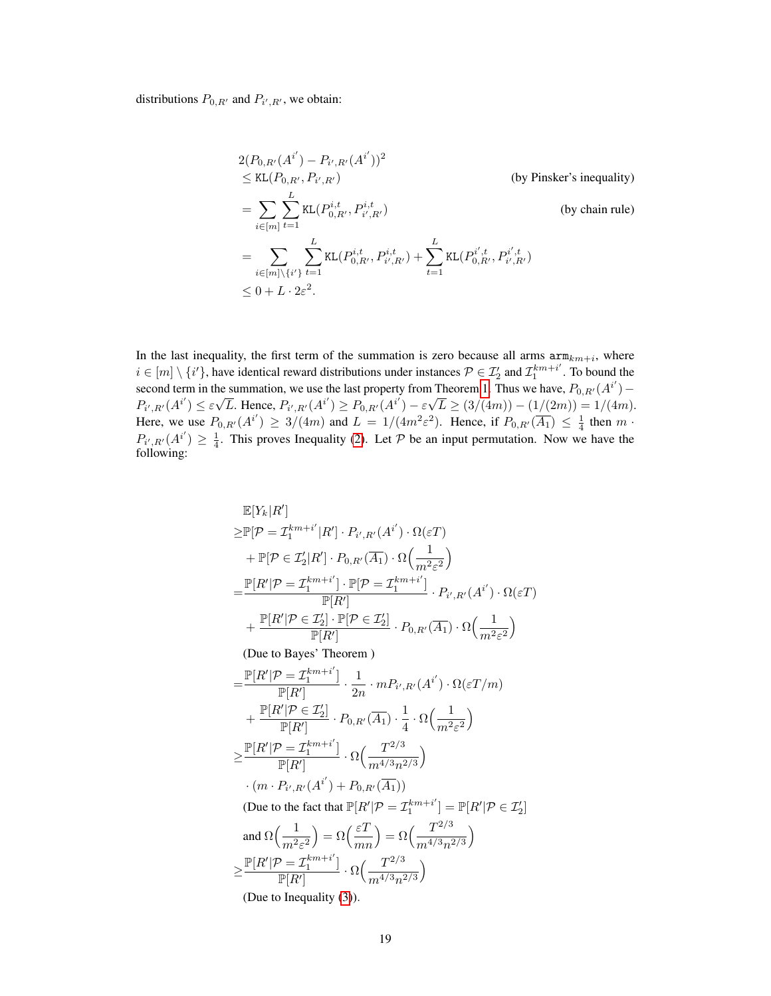distributions  $P_{0,R'}$  and  $P_{i',R'}$ , we obtain:

$$
2(P_{0,R'}(A^{i'}) - P_{i',R'}(A^{i'}))^2
$$
  
\n
$$
\leq KL(P_{0,R'}, P_{i',R'})
$$
 (by Pinsker's inequality)  
\n
$$
= \sum_{i \in [m]} \sum_{t=1}^{L} KL(P_{0,R'}^{i,t}, P_{i',R'}^{i,t})
$$
 (by chain rule)  
\n
$$
= \sum_{i \in [m] \setminus \{i'\}} \sum_{t=1}^{L} KL(P_{0,R'}^{i,t}, P_{i',R'}^{i,t}) + \sum_{t=1}^{L} KL(P_{0,R'}^{i',t}, P_{i',R'}^{i',t})
$$
  
\n
$$
\leq 0 + L \cdot 2\varepsilon^2.
$$

In the last inequality, the first term of the summation is zero because all arms  $\arg\min_{k,m+i}$ , where  $i \in [m] \setminus \{i'\}$ , have identical reward distributions under instances  $\mathcal{P} \in \mathcal{I}'_2$  and  $\mathcal{I}_1^{km+i'}$  $n_1^{km+i}$ . To bound the second term in the summation, we use the last property from Theorem 1. Thus we have,  $P_{0,R'}(A^{i'})$  –  $P_{i',R'}(A^{i'}) \leq \varepsilon$ µe  $\overline{L}$ . Hence,  $P_{i',R'}(A^{i'}) \ge P_{0,R'}(A^{i'}) - \varepsilon$ √  $L \geq (3/(4m)) - (1/(2m)) = 1/(4m).$ Here, we use  $P_{0,R'}(A^{i'}) \geq 3/(4m)$  and  $L = 1/(4m^2\varepsilon^2)$ . Hence, if  $P_{0,R'}(\overline{A_1}) \leq \frac{1}{4}$  then  $m \cdot$  $P_{i',R'}(A^{i'}) \geq \frac{1}{4}$ . This proves Inequality [\(2\)](#page-1-0). Let P be an input permutation. Now we have the following:

$$
\mathbb{E}[Y_k|R']\n\geq \mathbb{P}[\mathcal{P} = \mathcal{I}_1^{km+i'}|R'] \cdot P_{i',R'}(A^{i'}) \cdot \Omega(\varepsilon T)\n+ \mathbb{P}[\mathcal{P} \in \mathcal{I}_2'|R'] \cdot P_{0,R'}(\overline{A_1}) \cdot \Omega\left(\frac{1}{m^2\varepsilon^2}\right)\n= \frac{\mathbb{P}[R'|\mathcal{P} = \mathcal{I}_1^{km+i'}] \cdot \mathbb{P}[\mathcal{P} = \mathcal{I}_1^{km+i'}]}{\mathbb{P}[R']} \cdot P_{i',R'}(A^{i'}) \cdot \Omega(\varepsilon T)\n+ \frac{\mathbb{P}[R'|\mathcal{P} \in \mathcal{I}_2'] \cdot \mathbb{P}[\mathcal{P} \in \mathcal{I}_2']}{\mathbb{P}[R']} \cdot P_{0,R'}(\overline{A_1}) \cdot \Omega\left(\frac{1}{m^2\varepsilon^2}\right)\n\text{(Due to Bayes' Theorem)}\n= \frac{\mathbb{P}[R'|\mathcal{P} = \mathcal{I}_1^{km+i'}]}{\mathbb{P}[R']} \cdot \frac{1}{2n} \cdot m P_{i',R'}(A^{i'}) \cdot \Omega(\varepsilon T/m)\n+ \frac{\mathbb{P}[R'|\mathcal{P} \in \mathcal{I}_2']}{\mathbb{P}[R']} \cdot P_{0,R'}(\overline{A_1}) \cdot \frac{1}{4} \cdot \Omega\left(\frac{1}{m^2\varepsilon^2}\right)\n\geq \frac{\mathbb{P}[R'|\mathcal{P} = \mathcal{I}_1^{km+i'}]}{\mathbb{P}[R']} \cdot \Omega\left(\frac{T^{2/3}}{m^{4/3}n^{2/3}}\right)\n\cdot (m \cdot P_{i',R'}(A^{i'}) + P_{0,R'}(\overline{A_1}))\n\text{(Due to the fact that } \mathbb{P}[R'|\mathcal{P} = \mathcal{I}_1^{km+i'}] = \mathbb{P}[R'|\mathcal{P} \in \mathcal{I}_2']\n\text{ and } \Omega\left(\frac{1}{m^2\varepsilon^2}\right) = \Omega\left(\frac{\varepsilon T}{mn}\right) = \Omega\left(\frac{T^{2/3}}{m^{4/3}n^{2/3}}\right)\n\geq \frac{\mathbb{P}[R'|\mathcal{P} = \mathcal{I}_1^{km+i'}]}{\mathbb
$$

(Due to Inequality [\(3\)](#page-4-0)).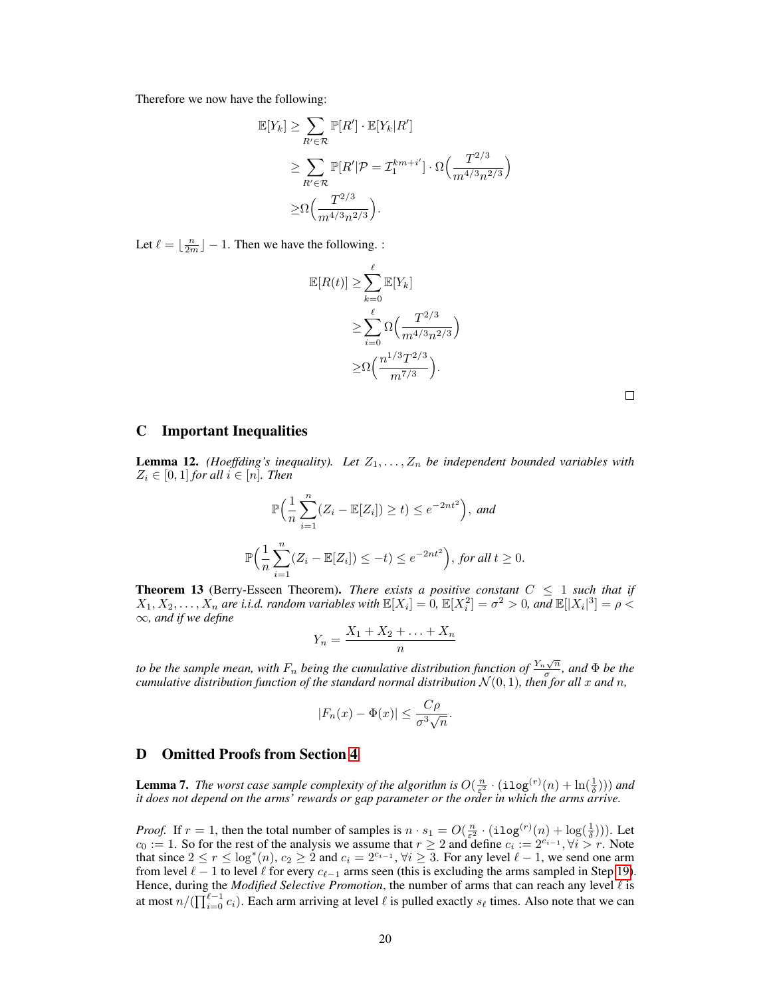Therefore we now have the following:

$$
\mathbb{E}[Y_k] \ge \sum_{R' \in \mathcal{R}} \mathbb{P}[R'] \cdot \mathbb{E}[Y_k | R']
$$
  
\n
$$
\ge \sum_{R' \in \mathcal{R}} \mathbb{P}[R' | \mathcal{P} = \mathcal{I}_1^{km+i'}] \cdot \Omega\left(\frac{T^{2/3}}{m^{4/3}n^{2/3}}\right)
$$
  
\n
$$
\ge \Omega\left(\frac{T^{2/3}}{m^{4/3}n^{2/3}}\right).
$$

Let  $\ell = \lfloor \frac{n}{2m} \rfloor - 1$ . Then we have the following. :

$$
\mathbb{E}[R(t)] \ge \sum_{k=0}^{\ell} \mathbb{E}[Y_k]
$$
  
\n
$$
\ge \sum_{i=0}^{\ell} \Omega\left(\frac{T^{2/3}}{m^{4/3}n^{2/3}}\right)
$$
  
\n
$$
\ge \Omega\left(\frac{n^{1/3}T^{2/3}}{m^{7/3}}\right).
$$

 $\Box$ 

# C Important Inequalities

**Lemma 12.** *(Hoeffding's inequality). Let*  $Z_1, \ldots, Z_n$  *be independent bounded variables with*  $Z_i \in [0,1]$  *for all*  $i \in [n]$ *. Then* 

$$
\mathbb{P}\Big(\frac{1}{n}\sum_{i=1}^{n}(Z_i - \mathbb{E}[Z_i]) \ge t\Big) \le e^{-2nt^2}\Big), \text{ and}
$$
  

$$
\mathbb{P}\Big(\frac{1}{n}\sum_{i=1}^{n}(Z_i - \mathbb{E}[Z_i]) \le -t\Big) \le e^{-2nt^2}\Big), \text{ for all } t \ge 0.
$$

**Theorem 13** (Berry-Esseen Theorem). *There exists a positive constant*  $C \leq 1$  *such that if*  $X_1, X_2, \ldots, X_n$  are i.i.d. random variables with  $\mathbb{E}[X_i] = 0$ ,  $\mathbb{E}[X_i^2] = \sigma^2 > 0$ , and  $\mathbb{E}[|X_i|^3] = \rho < \infty$ ∞*, and if we define*

$$
Y_n = \frac{X_1 + X_2 + \ldots + X_n}{n}
$$

to be the sample mean, with  $F_n$  being the cumulative distribution function of  $\frac{Y_n\sqrt{n}}{\sigma}$  $\frac{N}{\sigma}$ , and  $\Phi$  *be the cumulative distribution function of the standard normal distribution*  $\mathcal{N}(0,1)$ *, then for all*  $x$  *and*  $n$ *,* 

$$
|F_n(x) - \Phi(x)| \le \frac{C\rho}{\sigma^3 \sqrt{n}}.
$$

# D Omitted Proofs from Section 4

**Lemma 7.** *The worst case sample complexity of the algorithm is*  $O(\frac{n}{\epsilon^2} \cdot (\texttt{ilog}^{(r)}(n) + \ln(\frac{1}{\delta})))$  *and it does not depend on the arms' rewards or gap parameter or the order in which the arms arrive.*

*Proof.* If  $r = 1$ , then the total number of samples is  $n \cdot s_1 = O(\frac{n}{\epsilon^2} \cdot (\text{ilog}(r)(n) + \log(\frac{1}{\delta})))$ . Let  $c_0 := 1$ . So for the rest of the analysis we assume that  $r \geq 2$  and define  $c_i := 2^{c_{i-1}}, \forall i > r$ . Note that since  $2 \le r \le \log^*(n)$ ,  $c_2 \ge 2$  and  $c_i = 2^{c_{i-1}}$ ,  $\forall i \ge 3$ . For any level  $\ell - 1$ , we send one arm from level  $\ell - 1$  to level  $\ell$  for every  $c_{\ell-1}$  arms seen (this is excluding the arms sampled in Step 19). Hence, during the *Modified Selective Promotion*, the number of arms that can reach any level  $\ell$  is at most  $n/(\prod_{i=0}^{\ell-1} c_i)$ . Each arm arriving at level  $\ell$  is pulled exactly  $s_{\ell}$  times. Also note that we can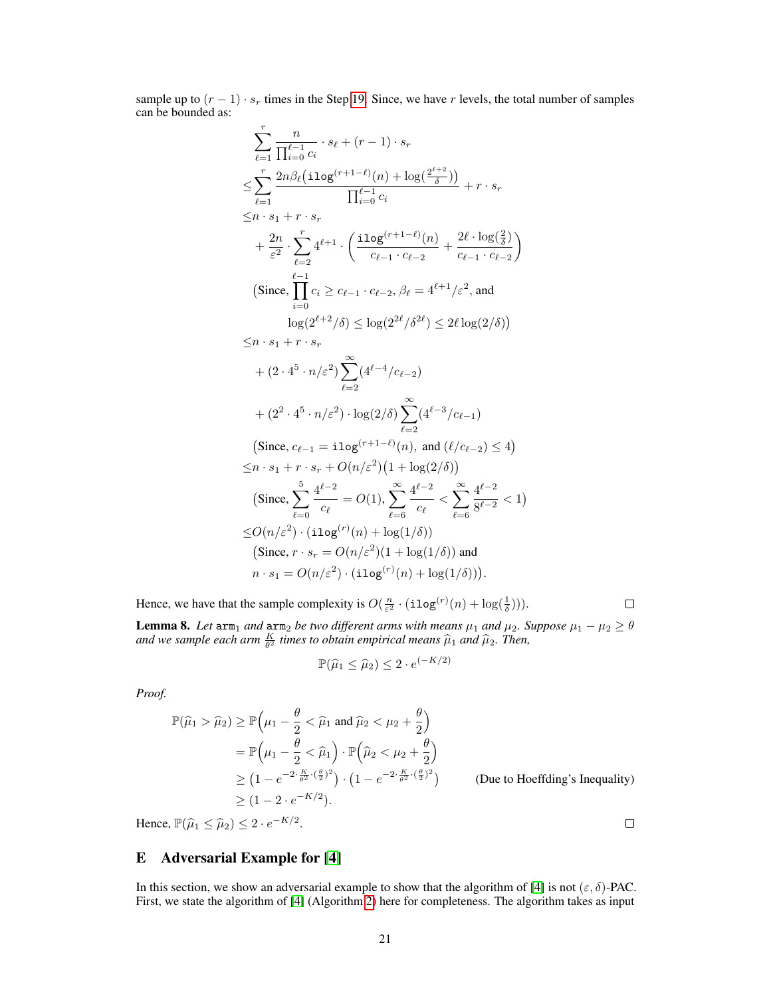sample up to  $(r - 1) \cdot s_r$  times in the Step 19. Since, we have r levels, the total number of samples can be bounded as:

$$
\sum_{\ell=1}^{r} \frac{n}{\prod_{i=0}^{\ell-1} c_i} \cdot s_{\ell} + (r-1) \cdot s_r
$$
\n
$$
\leq \sum_{\ell=1}^{r} \frac{2n\beta_{\ell}(\text{ilog}(r+1-\ell)(n) + \log(2^{\ell+2}))}{\prod_{i=0}^{\ell-1} c_i} + r \cdot s_r
$$
\n
$$
+ \frac{2n}{\varepsilon^2} \cdot \sum_{\ell=2}^{r} 4^{\ell+1} \cdot \left( \frac{\text{ilog}(r+1-\ell)(n)}{c_{\ell-1} \cdot c_{\ell-2}} + \frac{2\ell \cdot \log(\frac{2}{\delta})}{c_{\ell-1} \cdot c_{\ell-2}} \right)
$$
\n(Since, 
$$
\prod_{i=0}^{\ell-1} c_i \geq c_{\ell-1} \cdot c_{\ell-2}, \beta_{\ell} = 4^{\ell+1}/\varepsilon^2, \text{ and}
$$
\n
$$
\log(2^{\ell+2}/\delta) \leq \log(2^{2\ell}/\delta^{2\ell}) \leq 2\ell \log(2/\delta)
$$
\n
$$
\leq n \cdot s_1 + r \cdot s_r
$$
\n
$$
+ (2 \cdot 4^5 \cdot n/\varepsilon^2) \sum_{\ell=2}^{\infty} (4^{\ell-4}/c_{\ell-2})
$$
\n
$$
+ (2^2 \cdot 4^5 \cdot n/\varepsilon^2) \cdot \log(2/\delta) \sum_{\ell=2}^{\infty} (4^{\ell-3}/c_{\ell-1})
$$
\n(Since,  $c_{\ell-1} = i \log^{(r+1-\ell)}(n)$ , and  $(\ell/c_{\ell-2}) \leq 4$ )\n
$$
\leq n \cdot s_1 + r \cdot s_r + O(n/\varepsilon^2) (1 + \log(2/\delta))
$$
\n(Since, 
$$
\sum_{\ell=0}^{5} \frac{4^{\ell-2}}{c_{\ell}} = O(1), \sum_{\ell=6}^{\infty} \frac{4^{\ell-2}}{c_{\ell}} < \sum_{\ell=6}^{\infty} \frac{4^{\ell-2}}{8^{\ell-2}} < 1
$$
\n
$$
\leq O(n/\varepsilon^2) \cdot (i \log(r)(n) +
$$

Hence, we have that the sample complexity is  $O(\frac{n}{\varepsilon^2} \cdot (\texttt{ilog}^{(r)}(n) + \log(\frac{1}{\delta})))$ .

**Lemma 8.** Let  $\text{arm}_1$  and  $\text{arm}_2$  be two different arms with means  $\mu_1$  and  $\mu_2$ . Suppose  $\mu_1 - \mu_2 \ge \theta$ and we sample each arm  $\frac{K}{\theta^2}$  times to obtain empirical means  $\widehat{\mu}_1$  and  $\widehat{\mu}_2$ . Then,

$$
\mathbb{P}(\widehat{\mu}_1 \le \widehat{\mu}_2) \le 2 \cdot e^{(-K/2)}
$$

*Proof.*

$$
\mathbb{P}(\widehat{\mu}_1 > \widehat{\mu}_2) \ge \mathbb{P}\left(\mu_1 - \frac{\theta}{2} < \widehat{\mu}_1 \text{ and } \widehat{\mu}_2 < \mu_2 + \frac{\theta}{2}\right)
$$
  
\n
$$
= \mathbb{P}\left(\mu_1 - \frac{\theta}{2} < \widehat{\mu}_1\right) \cdot \mathbb{P}\left(\widehat{\mu}_2 < \mu_2 + \frac{\theta}{2}\right)
$$
  
\n
$$
\ge \left(1 - e^{-2 \cdot \frac{K}{\theta^2} \cdot (\frac{\theta}{2})^2}\right) \cdot \left(1 - e^{-2 \cdot \frac{K}{\theta^2} \cdot (\frac{\theta}{2})^2}\right) \qquad \text{(Due to Hoeffding's Inequality)}
$$
  
\n
$$
\ge \left(1 - 2 \cdot e^{-K/2}\right).
$$

Hence,  $\mathbb{P}(\widehat{\mu}_1 \leq \widehat{\mu}_2) \leq 2 \cdot e^{-K/2}$ .

# E Adversarial Example for [4]

In this section, we show an adversarial example to show that the algorithm of [4] is not  $(\varepsilon, \delta)$ -PAC. First, we state the algorithm of [4] (Algorithm [2\)](#page-8-0) here for completeness. The algorithm takes as input

 $\Box$ 

 $\Box$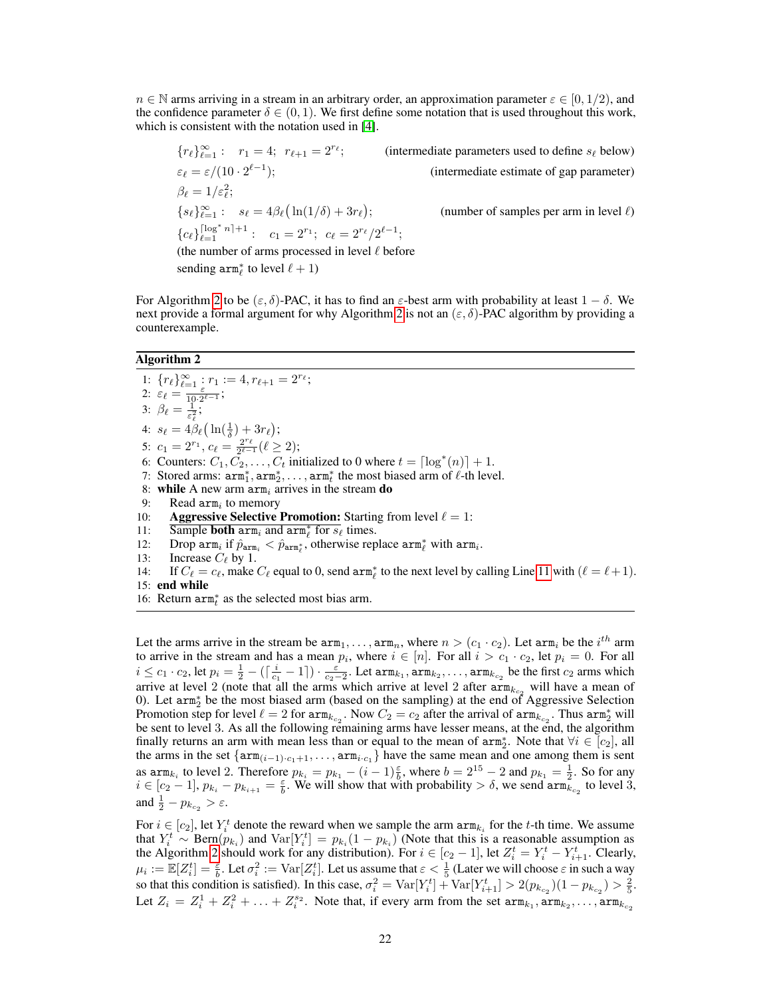$n \in \mathbb{N}$  arms arriving in a stream in an arbitrary order, an approximation parameter  $\varepsilon \in [0, 1/2)$ , and the confidence parameter  $\delta \in (0, 1)$ . We first define some notation that is used throughout this work, which is consistent with the notation used in [4].

$$
\{r_{\ell}\}_{\ell=1}^{\infty}: r_1 = 4; r_{\ell+1} = 2^{r_{\ell}};
$$
 (intermediate parameters used to define  $s_{\ell}$  below)  
\n
$$
\varepsilon_{\ell} = \varepsilon/(10 \cdot 2^{\ell-1});
$$
 (intermediate estimate of gap parameter)  
\n
$$
\beta_{\ell} = 1/\varepsilon_{\ell}^{2};
$$
  
\n
$$
\{s_{\ell}\}_{\ell=1}^{\infty}: s_{\ell} = 4\beta_{\ell}(\ln(1/\delta) + 3r_{\ell});
$$
 (number of samples per arm in level  $\ell$ )  
\n
$$
\{c_{\ell}\}_{\ell=1}^{\lceil \log^* n \rceil + 1}: c_1 = 2^{r_1}; c_{\ell} = 2^{r_{\ell}}/2^{\ell-1};
$$
  
\n(the number of arms processed in level  $\ell$  before  
\n sending arm<sup>\*</sup> <sub>$\ell$</sub>  to level  $\ell + 1$ )

For Algorithm [2](#page-8-0) to be  $(\varepsilon, \delta)$ -PAC, it has to find an  $\varepsilon$ -best arm with probability at least  $1 - \delta$ . We next provide a formal argument for why Algorithm [2](#page-8-0) is not an  $(\varepsilon, \delta)$ -PAC algorithm by providing a counterexample.

## <span id="page-8-0"></span>Algorithm 2

1:  $\{r_\ell\}_{\ell=1}^\infty$  :  $r_1 := 4, r_{\ell+1} = 2^{r_\ell};$ 2:  $\varepsilon_{\ell} = \frac{\varepsilon}{10 \cdot 2^{\ell-1}}$ ; 3:  $\beta_{\ell} = \frac{1}{\varepsilon_{\ell}^2};$ 4:  $s_{\ell} = 4\beta_{\ell} \left( \ln(\frac{1}{\delta}) + 3r_{\ell} \right);$ 5:  $c_1 = 2^{r_1}$ ,  $c_\ell = \frac{2^{r_\ell}}{2^{\ell - 1}}$  $\frac{2^{\ell}}{2^{\ell-1}} (\ell \geq 2);$ 6: Counters:  $C_1, \tilde{C_2}, \ldots, C_t$  initialized to 0 where  $t = \lceil \log^*(n) \rceil + 1$ . 7: Stored arms:  $arm_1^*, arm_2^*, \ldots, arm_t^*$  the most biased arm of  $\ell$ -th level. 8: while A new arm  $arm<sub>i</sub>$  arrives in the stream do 9: Read  $arm_i$  to memory 10: Aggressive Selective Promotion: Starting from level  $\ell = 1$ : 11: Sample **both**  $\operatorname{arm}_i$  and  $\operatorname{arm}_\ell^*$  for  $s_\ell$  times. 12: Drop  $\text{arm}_i$  if  $\hat{p}_{\text{arm}_i} < \hat{p}_{\text{arm}_{\ell}^*}$ , otherwise replace  $\text{arm}_\ell^*$  with  $\text{arm}_i$ . 13: Increase  $C_{\ell}$  by 1. 14: If  $C_\ell = c_\ell$ , make  $C_\ell$  equal to 0, send arm<sup>\*</sup><sub> $\ell$ </sub> to the next level by calling Line [11](#page-8-1) with  $(\ell = \ell + 1)$ . 15: end while

<span id="page-8-1"></span>16: Return  $arm_t^*$  as the selected most bias arm.

Let the arms arrive in the stream be  $arm_1, \ldots, arm_n$ , where  $n > (c_1 \cdot c_2)$ . Let  $arm_i$  be the  $i^{th}$  arm to arrive in the stream and has a mean  $p_i$ , where  $i \in [n]$ . For all  $i > c_1 \cdot c_2$ , let  $p_i = 0$ . For all  $i\leq c_1\cdot c_2$ , let  $p_i=\frac{1}{2}-(\lceil\frac{i}{c_1}-1\rceil)\cdot\frac{\varepsilon}{c_2-2}.$  Let  $\mathtt{arm}_{k_1},\mathtt{arm}_{k_2},\ldots,\mathtt{arm}_{k_{c_2}}$  be the first  $c_2$  arms which arrive at level 2 (note that all the arms which arrive at level 2 after  $\text{arm}_{k_{c_2}}$  will have a mean of 0). Let  $arm_2^*$  be the most biased arm (based on the sampling) at the end of Aggressive Selection Promotion step for level  $\ell = 2$  for  $arm_{k_{c_2}}$ . Now  $C_2 = c_2$  after the arrival of  $arm_{k_{c_2}}$ . Thus  $arm_2^*$  will be sent to level 3. As all the following remaining arms have lesser means, at the end, the algorithm finally returns an arm with mean less than or equal to the mean of  $arm_2^*$ . Note that  $\forall i \in [c_2]$ , all the arms in the set  $\{arm_{(i-1)}, c_{1}+1}, \ldots, arm_{i \cdot c_{1}}\}$  have the same mean and one among them is sent as  $\text{arm}_{k_i}$  to level 2. Therefore  $p_{k_i} = p_{k_1} - (i-1)\frac{\varepsilon}{b}$ , where  $b = 2^{15} - 2$  and  $p_{k_1} = \frac{1}{2}$ . So for any  $i \in [c_2 - 1], p_{k_i} - p_{k_{i+1}} = \frac{\varepsilon}{b}$ . We will show that with probability  $> \delta$ , we send  $\operatorname{arm}_{k_{c_2}}^2$  to level 3, and  $\frac{1}{2} - p_{k_{c_2}} > \varepsilon$ .

For  $i \in [c_2]$ , let  $Y_i^t$  denote the reward when we sample the arm  $\text{arm}_{k_i}$  for the t-th time. We assume that  $Y_i^t \sim \text{Bern}(p_{k_i})$  and  $\text{Var}[Y_i^t] = p_{k_i}(1 - p_{k_i})$  (Note that this is a reasonable assumption as the Algorithm [2](#page-8-0) should work for any distribution). For  $i \in [c_2 - 1]$ , let  $Z_i^t = Y_i^t - Y_{i+1}^t$ . Clearly,  $\mu_i := \mathbb{E}[Z_i^t] = \frac{\varepsilon}{b}$ . Let  $\sigma_i^2 := \text{Var}[Z_i^t]$ . Let us assume that  $\varepsilon < \frac{1}{5}$  (Later we will choose  $\varepsilon$  in such a way so that this condition is satisfied). In this case,  $\sigma_i^2 = \text{Var}[Y_i^t] + \text{Var}[Y_{i+1}^t] > 2(p_{k_{c_2}})(1 - p_{k_{c_2}}) > \frac{2}{5}$ . Let  $Z_i = Z_i^1 + Z_i^2 + \ldots + Z_i^{s_2}$ . Note that, if every arm from the set  $arm_{k_1}, arm_{k_2}, \ldots, arm_{k_{c_2}}$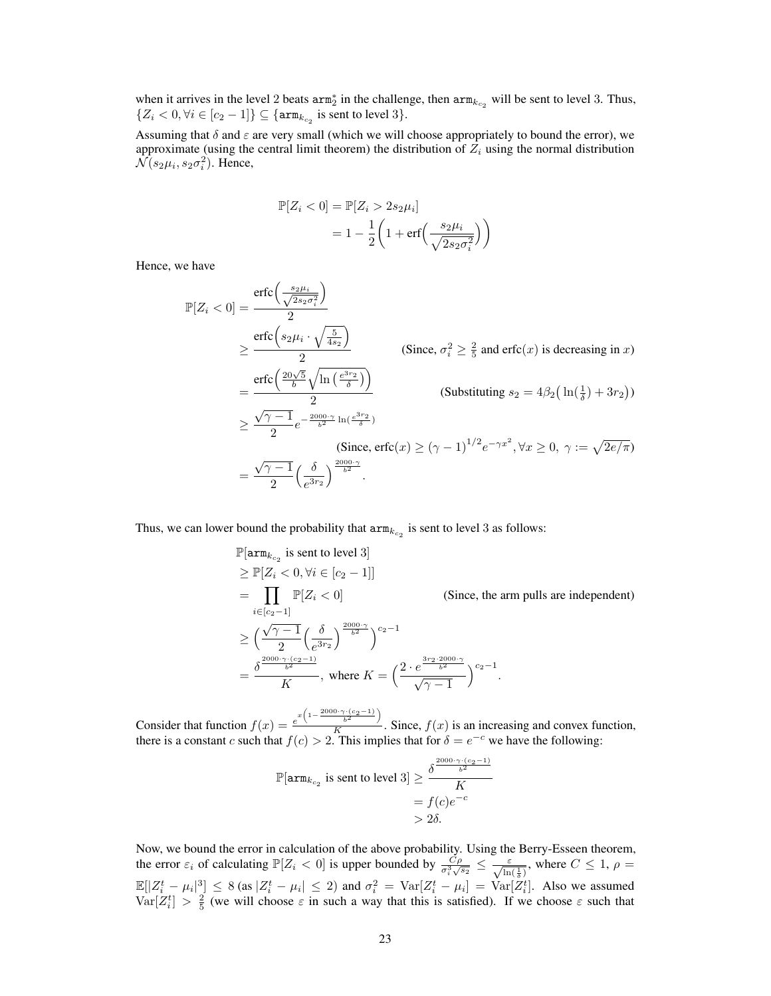when it arrives in the level 2 beats  $arm_2^*$  in the challenge, then  $arm_{k_{c_2}}$  will be sent to level 3. Thus,  $\{Z_i < 0, \forall i \in [c_2 - 1]\} \subseteq \{\text{arm}_{k_{c_2}} \text{ is sent to level } 3\}.$ 

Assuming that  $\delta$  and  $\varepsilon$  are very small (which we will choose appropriately to bound the error), we approximate (using the central limit theorem) the distribution of  $Z_i$  using the normal distribution  $\mathcal{N}(s_2\mu_i, s_2\sigma_i^2)$ . Hence,

$$
\mathbb{P}[Z_i < 0] = \mathbb{P}[Z_i > 2s_2\mu_i]
$$
\n
$$
= 1 - \frac{1}{2} \left( 1 + \text{erf}\left(\frac{s_2\mu_i}{\sqrt{2s_2\sigma_i^2}}\right) \right)
$$

Hence, we have

$$
\mathbb{P}[Z_i < 0] = \frac{\text{erfc}\left(\frac{s_2\mu_i}{\sqrt{2s_2\sigma_i^2}}\right)}{2}
$$
\n
$$
\geq \frac{\text{erfc}\left(s_2\mu_i \cdot \sqrt{\frac{5}{4s_2}}\right)}{2} \qquad \text{(Since, } \sigma_i^2 \geq \frac{2}{5} \text{ and } \text{erfc}(x) \text{ is decreasing in } x\text{)}
$$
\n
$$
= \frac{\text{erfc}\left(\frac{20\sqrt{5}}{b}\sqrt{\ln\left(\frac{e^{3r_2}}{\delta}\right)}\right)}{2} \qquad \text{(Substituting } s_2 = 4\beta_2\left(\ln\left(\frac{1}{\delta}\right) + 3r_2\right))
$$
\n
$$
\geq \frac{\sqrt{\gamma - 1}}{2} e^{-\frac{2000\cdot \gamma}{b^2} \ln\left(\frac{e^{3r_2}}{\delta}\right)}
$$
\n
$$
\text{(Since, } \text{erfc}(x) \geq (\gamma - 1)^{1/2} e^{-\gamma x^2}, \forall x \geq 0, \ \gamma := \sqrt{2e/\pi}\text{)}
$$
\n
$$
= \frac{\sqrt{\gamma - 1}}{2} \left(\frac{\delta}{e^{3r_2}}\right)^{\frac{2000\cdot \gamma}{b^2}}.
$$

Thus, we can lower bound the probability that  $arm_{k_{c_2}}$  is sent to level 3 as follows:

$$
\mathbb{P}[\text{arm}_{k_{c_2}} \text{ is sent to level 3}]
$$
\n
$$
\geq \mathbb{P}[Z_i < 0, \forall i \in [c_2 - 1]]
$$
\n
$$
= \prod_{i \in [c_2 - 1]} \mathbb{P}[Z_i < 0] \qquad \text{(Since, the arm pulls are independent)}
$$
\n
$$
\geq \left(\frac{\sqrt{\gamma - 1}}{2} \left(\frac{\delta}{e^{3r_2}}\right)^{\frac{2000 \cdot \gamma}{b^2}}\right)^{c_2 - 1}
$$
\n
$$
= \frac{\delta^{\frac{2000 \cdot \gamma \cdot (c_2 - 1)}{b^2}}}{K}, \text{ where } K = \left(\frac{2 \cdot e^{\frac{3r_2 \cdot 2000 \cdot \gamma}{b^2}}}{\sqrt{\gamma - 1}}\right)^{c_2 - 1}.
$$

Consider that function  $f(x) = \frac{e^{x\left(1 - \frac{2000 \cdot \gamma \cdot (c_2 - 1)}{b^2}\right)}}{K}$  $\frac{b^2}{K}$ . Since,  $f(x)$  is an increasing and convex function, there is a constant c such that  $f(c) > 2$ . This implies that for  $\delta = e^{-c}$  we have the following:

$$
\mathbb{P}[\mathop{\rm arm}\nolimits_{k_{c_2}}\text{ is sent to level 3}]\geq \frac{\delta^{\frac{2000\cdot\gamma\cdot(c_2-1)}{b^2}}}{K}\\=f(c)e^{-c}\\>2\delta.
$$

Now, we bound the error in calculation of the above probability. Using the Berry-Esseen theorem, the error  $\varepsilon_i$  of calculating  $\mathbb{P}[Z_i < 0]$  is upper bounded by  $\frac{C\rho}{\sigma_i^3 \sqrt{s_2}} \leq \frac{\varepsilon}{\sqrt{\ln(\frac{1}{\delta})}}$ , where  $C \leq 1$ ,  $\rho =$  $\mathbb{E}[|Z_i^t - \mu_i|^3] \leq 8$  (as  $|Z_i^t - \mu_i| \leq 2$ ) and  $\sigma_i^2 = \text{Var}[Z_i^t - \mu_i] = \text{Var}[Z_i^t]$ . Also we assumed  $\text{Var}[Z_i^t] > \frac{2}{5}$  (we will choose  $\varepsilon$  in such a way that this is satisfied). If we choose  $\varepsilon$  such that